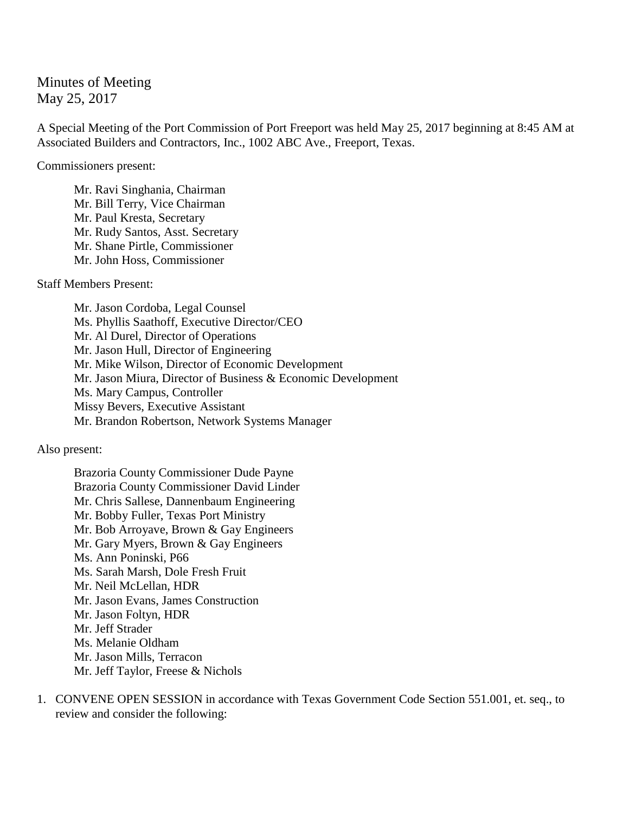Minutes of Meeting May 25, 2017

A Special Meeting of the Port Commission of Port Freeport was held May 25, 2017 beginning at 8:45 AM at Associated Builders and Contractors, Inc., 1002 ABC Ave., Freeport, Texas.

Commissioners present:

Mr. Ravi Singhania, Chairman Mr. Bill Terry, Vice Chairman Mr. Paul Kresta, Secretary Mr. Rudy Santos, Asst. Secretary Mr. Shane Pirtle, Commissioner Mr. John Hoss, Commissioner

Staff Members Present:

Mr. Jason Cordoba, Legal Counsel Ms. Phyllis Saathoff, Executive Director/CEO Mr. Al Durel, Director of Operations Mr. Jason Hull, Director of Engineering Mr. Mike Wilson, Director of Economic Development Mr. Jason Miura, Director of Business & Economic Development Ms. Mary Campus, Controller Missy Bevers, Executive Assistant Mr. Brandon Robertson, Network Systems Manager

Also present:

Brazoria County Commissioner Dude Payne Brazoria County Commissioner David Linder Mr. Chris Sallese, Dannenbaum Engineering Mr. Bobby Fuller, Texas Port Ministry Mr. Bob Arroyave, Brown & Gay Engineers Mr. Gary Myers, Brown & Gay Engineers Ms. Ann Poninski, P66 Ms. Sarah Marsh, Dole Fresh Fruit Mr. Neil McLellan, HDR Mr. Jason Evans, James Construction Mr. Jason Foltyn, HDR Mr. Jeff Strader Ms. Melanie Oldham Mr. Jason Mills, Terracon Mr. Jeff Taylor, Freese & Nichols

1. CONVENE OPEN SESSION in accordance with Texas Government Code Section 551.001, et. seq., to review and consider the following: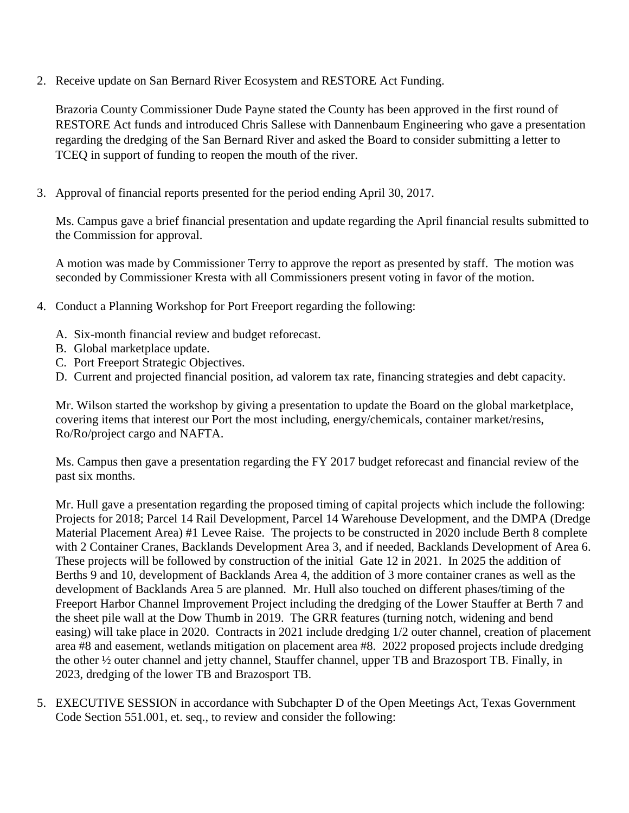2. Receive update on San Bernard River Ecosystem and RESTORE Act Funding.

Brazoria County Commissioner Dude Payne stated the County has been approved in the first round of RESTORE Act funds and introduced Chris Sallese with Dannenbaum Engineering who gave a presentation regarding the dredging of the San Bernard River and asked the Board to consider submitting a letter to TCEQ in support of funding to reopen the mouth of the river.

3. Approval of financial reports presented for the period ending April 30, 2017.

Ms. Campus gave a brief financial presentation and update regarding the April financial results submitted to the Commission for approval.

A motion was made by Commissioner Terry to approve the report as presented by staff. The motion was seconded by Commissioner Kresta with all Commissioners present voting in favor of the motion.

- 4. Conduct a Planning Workshop for Port Freeport regarding the following:
	- A. Six-month financial review and budget reforecast.
	- B. Global marketplace update.
	- C. Port Freeport Strategic Objectives.
	- D. Current and projected financial position, ad valorem tax rate, financing strategies and debt capacity.

Mr. Wilson started the workshop by giving a presentation to update the Board on the global marketplace, covering items that interest our Port the most including, energy/chemicals, container market/resins, Ro/Ro/project cargo and NAFTA.

Ms. Campus then gave a presentation regarding the FY 2017 budget reforecast and financial review of the past six months.

Mr. Hull gave a presentation regarding the proposed timing of capital projects which include the following: Projects for 2018; Parcel 14 Rail Development, Parcel 14 Warehouse Development, and the DMPA (Dredge Material Placement Area) #1 Levee Raise. The projects to be constructed in 2020 include Berth 8 complete with 2 Container Cranes, Backlands Development Area 3, and if needed, Backlands Development of Area 6. These projects will be followed by construction of the initial Gate 12 in 2021. In 2025 the addition of Berths 9 and 10, development of Backlands Area 4, the addition of 3 more container cranes as well as the development of Backlands Area 5 are planned. Mr. Hull also touched on different phases/timing of the Freeport Harbor Channel Improvement Project including the dredging of the Lower Stauffer at Berth 7 and the sheet pile wall at the Dow Thumb in 2019. The GRR features (turning notch, widening and bend easing) will take place in 2020. Contracts in 2021 include dredging 1/2 outer channel, creation of placement area #8 and easement, wetlands mitigation on placement area #8. 2022 proposed projects include dredging the other ½ outer channel and jetty channel, Stauffer channel, upper TB and Brazosport TB. Finally, in 2023, dredging of the lower TB and Brazosport TB.

5. EXECUTIVE SESSION in accordance with Subchapter D of the Open Meetings Act, Texas Government Code Section 551.001, et. seq., to review and consider the following: